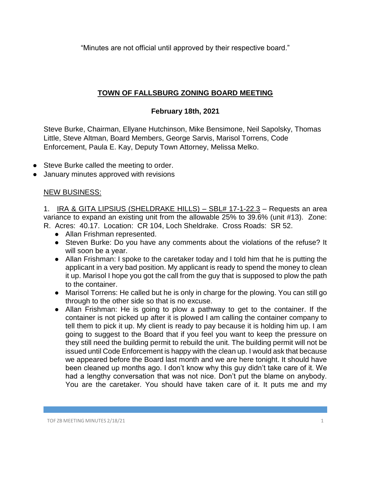"Minutes are not official until approved by their respective board."

## **TOWN OF FALLSBURG ZONING BOARD MEETING**

## **February 18th, 2021**

Steve Burke, Chairman, Ellyane Hutchinson, Mike Bensimone, Neil Sapolsky, Thomas Little, Steve Altman, Board Members, George Sarvis, Marisol Torrens, Code Enforcement, Paula E. Kay, Deputy Town Attorney, Melissa Melko.

- Steve Burke called the meeting to order.
- January minutes approved with revisions

## NEW BUSINESS:

1. IRA & GITA LIPSIUS (SHELDRAKE HILLS) - SBL# 17-1-22.3 - Requests an area variance to expand an existing unit from the allowable 25% to 39.6% (unit #13). Zone: R. Acres: 40.17. Location: CR 104, Loch Sheldrake. Cross Roads: SR 52.

- Allan Frishman represented.
- Steven Burke: Do you have any comments about the violations of the refuse? It will soon be a year.
- Allan Frishman: I spoke to the caretaker today and I told him that he is putting the applicant in a very bad position. My applicant is ready to spend the money to clean it up. Marisol I hope you got the call from the guy that is supposed to plow the path to the container.
- Marisol Torrens: He called but he is only in charge for the plowing. You can still go through to the other side so that is no excuse.
- Allan Frishman: He is going to plow a pathway to get to the container. If the container is not picked up after it is plowed I am calling the container company to tell them to pick it up. My client is ready to pay because it is holding him up. I am going to suggest to the Board that if you feel you want to keep the pressure on they still need the building permit to rebuild the unit. The building permit will not be issued until Code Enforcement is happy with the clean up. I would ask that because we appeared before the Board last month and we are here tonight. It should have been cleaned up months ago. I don't know why this guy didn't take care of it. We had a lengthy conversation that was not nice. Don't put the blame on anybody. You are the caretaker. You should have taken care of it. It puts me and my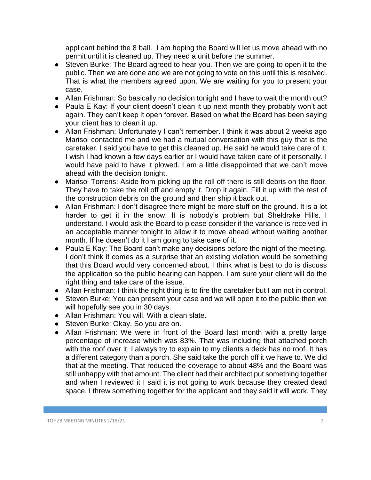applicant behind the 8 ball. I am hoping the Board will let us move ahead with no permit until it is cleaned up. They need a unit before the summer.

- Steven Burke: The Board agreed to hear you. Then we are going to open it to the public. Then we are done and we are not going to vote on this until this is resolved. That is what the members agreed upon. We are waiting for you to present your case.
- Allan Frishman: So basically no decision tonight and I have to wait the month out?
- Paula E Kay: If your client doesn't clean it up next month they probably won't act again. They can't keep it open forever. Based on what the Board has been saying your client has to clean it up.
- Allan Frishman: Unfortunately I can't remember. I think it was about 2 weeks ago Marisol contacted me and we had a mutual conversation with this guy that is the caretaker. I said you have to get this cleaned up. He said he would take care of it. I wish I had known a few days earlier or I would have taken care of it personally. I would have paid to have it plowed. I am a little disappointed that we can't move ahead with the decision tonight.
- Marisol Torrens: Aside from picking up the roll off there is still debris on the floor. They have to take the roll off and empty it. Drop it again. Fill it up with the rest of the construction debris on the ground and then ship it back out.
- Allan Frishman: I don't disagree there might be more stuff on the ground. It is a lot harder to get it in the snow. It is nobody's problem but Sheldrake Hills. I understand. I would ask the Board to please consider if the variance is received in an acceptable manner tonight to allow it to move ahead without waiting another month. If he doesn't do it I am going to take care of it.
- Paula E Kay: The Board can't make any decisions before the night of the meeting. I don't think it comes as a surprise that an existing violation would be something that this Board would very concerned about. I think what is best to do is discuss the application so the public hearing can happen. I am sure your client will do the right thing and take care of the issue.
- Allan Frishman: I think the right thing is to fire the caretaker but I am not in control.
- Steven Burke: You can present your case and we will open it to the public then we will hopefully see you in 30 days.
- Allan Frishman: You will. With a clean slate.
- Steven Burke: Okay. So you are on.
- Allan Frishman: We were in front of the Board last month with a pretty large percentage of increase which was 83%. That was including that attached porch with the roof over it. I always try to explain to my clients a deck has no roof. It has a different category than a porch. She said take the porch off it we have to. We did that at the meeting. That reduced the coverage to about 48% and the Board was still unhappy with that amount. The client had their architect put something together and when I reviewed it I said it is not going to work because they created dead space. I threw something together for the applicant and they said it will work. They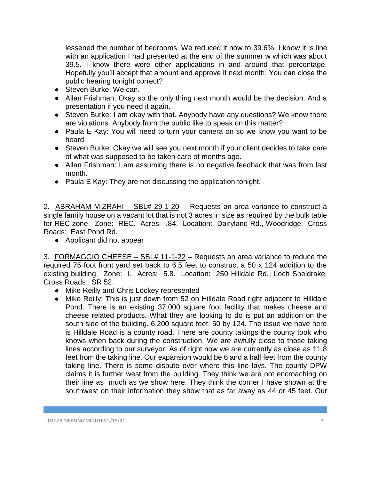lessened the number of bedrooms. We reduced it now to 39.6%. I know it is line with an application I had presented at the end of the summer w which was about 39.5. I know there were other applications in and around that percentage. Hopefully you'll accept that amount and approve it next month. You can close the public hearing tonight correct?

- Steven Burke: We can.
- Allan Frishman: Okay so the only thing next month would be the decision. And a presentation if you need it again.
- Steven Burke: I am okay with that. Anybody have any questions? We know there are violations. Anybody from the public like to speak on this matter?
- Paula E Kay: You will need to turn your camera on so we know you want to be heard.
- Steven Burke: Okay we will see you next month if your client decides to take care of what was supposed to be taken care of months ago.
- Allan Frishman: I am assuming there is no negative feedback that was from last month.
- Paula E Kay: They are not discussing the application tonight.

2. ABRAHAM MIZRAHI – SBL# 29-1-20 - Requests an area variance to construct a single family house on a vacant lot that is not 3 acres in size as required by the bulk table for REC zone. Zone: REC. Acres: .84. Location: Dairyland Rd., Woodridge. Cross Roads: East Pond Rd.

● Applicant did not appear

3. FORMAGGIO CHEESE – SBL# 11-1-22 – Requests an area variance to reduce the required 75 foot front yard set back to 6.5 feet to construct a 50 x 124 addition to the existing building. Zone: I. Acres: 5.8. Location: 250 Hilldale Rd., Loch Sheldrake. Cross Roads: SR 52.

- Mike Reilly and Chris Lockey represented
- Mike Reilly: This is just down from 52 on Hilldale Road right adjacent to Hilldale Pond. There is an existing 37,000 square foot facility that makes cheese and cheese related products. What they are looking to do is put an addition on the south side of the building. 6,200 square feet. 50 by 124. The issue we have here is Hilldale Road is a county road. There are county takings the county took who knows when back during the construction. We are awfully close to those taking lines according to our surveyor. As of right now we are currently as close as 11.8 feet from the taking line. Our expansion would be 6 and a half feet from the county taking line. There is some dispute over where this line lays. The county DPW claims it is further west from the building. They think we are not encroaching on their line as much as we show here. They think the corner I have shown at the southwest on their information they show that as far away as 44 or 45 feet. Our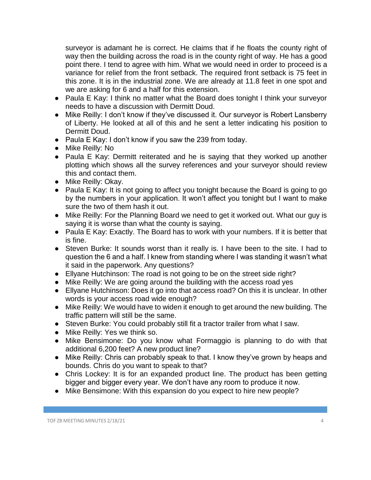surveyor is adamant he is correct. He claims that if he floats the county right of way then the building across the road is in the county right of way. He has a good point there. I tend to agree with him. What we would need in order to proceed is a variance for relief from the front setback. The required front setback is 75 feet in this zone. It is in the industrial zone. We are already at 11.8 feet in one spot and we are asking for 6 and a half for this extension.

- Paula E Kay: I think no matter what the Board does tonight I think your surveyor needs to have a discussion with Dermitt Doud.
- Mike Reilly: I don't know if they've discussed it. Our surveyor is Robert Lansberry of Liberty. He looked at all of this and he sent a letter indicating his position to Dermitt Doud.
- Paula E Kay: I don't know if you saw the 239 from today.
- Mike Reilly: No
- Paula E Kay: Dermitt reiterated and he is saying that they worked up another plotting which shows all the survey references and your surveyor should review this and contact them.
- Mike Reilly: Okay.
- Paula E Kay: It is not going to affect you tonight because the Board is going to go by the numbers in your application. It won't affect you tonight but I want to make sure the two of them hash it out.
- Mike Reilly: For the Planning Board we need to get it worked out. What our guy is saying it is worse than what the county is saying.
- Paula E Kay: Exactly. The Board has to work with your numbers. If it is better that is fine.
- Steven Burke: It sounds worst than it really is. I have been to the site. I had to question the 6 and a half. I knew from standing where I was standing it wasn't what it said in the paperwork. Any questions?
- Ellyane Hutchinson: The road is not going to be on the street side right?
- Mike Reilly: We are going around the building with the access road yes
- Ellyane Hutchinson: Does it go into that access road? On this it is unclear. In other words is your access road wide enough?
- Mike Reilly: We would have to widen it enough to get around the new building. The traffic pattern will still be the same.
- Steven Burke: You could probably still fit a tractor trailer from what I saw.
- Mike Reilly: Yes we think so.
- Mike Bensimone: Do you know what Formaggio is planning to do with that additional 6,200 feet? A new product line?
- Mike Reilly: Chris can probably speak to that. I know they've grown by heaps and bounds. Chris do you want to speak to that?
- Chris Lockey: It is for an expanded product line. The product has been getting bigger and bigger every year. We don't have any room to produce it now.
- Mike Bensimone: With this expansion do you expect to hire new people?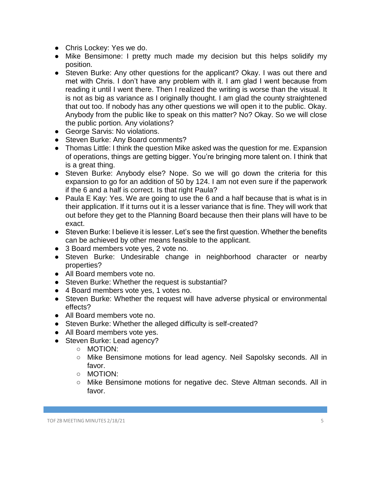- Chris Lockey: Yes we do.
- Mike Bensimone: I pretty much made my decision but this helps solidify my position.
- Steven Burke: Any other questions for the applicant? Okay. I was out there and met with Chris. I don't have any problem with it. I am glad I went because from reading it until I went there. Then I realized the writing is worse than the visual. It is not as big as variance as I originally thought. I am glad the county straightened that out too. If nobody has any other questions we will open it to the public. Okay. Anybody from the public like to speak on this matter? No? Okay. So we will close the public portion. Any violations?
- George Sarvis: No violations.
- Steven Burke: Any Board comments?
- Thomas Little: I think the question Mike asked was the question for me. Expansion of operations, things are getting bigger. You're bringing more talent on. I think that is a great thing.
- Steven Burke: Anybody else? Nope. So we will go down the criteria for this expansion to go for an addition of 50 by 124. I am not even sure if the paperwork if the 6 and a half is correct. Is that right Paula?
- Paula E Kay: Yes. We are going to use the 6 and a half because that is what is in their application. If it turns out it is a lesser variance that is fine. They will work that out before they get to the Planning Board because then their plans will have to be exact.
- Steven Burke: I believe it is lesser. Let's see the first question. Whether the benefits can be achieved by other means feasible to the applicant.
- 3 Board members vote yes, 2 vote no.
- Steven Burke: Undesirable change in neighborhood character or nearby properties?
- All Board members vote no.
- Steven Burke: Whether the request is substantial?
- 4 Board members vote yes, 1 votes no.
- Steven Burke: Whether the request will have adverse physical or environmental effects?
- All Board members vote no.
- Steven Burke: Whether the alleged difficulty is self-created?
- All Board members vote yes.
- Steven Burke: Lead agency?
	- MOTION:
	- Mike Bensimone motions for lead agency. Neil Sapolsky seconds. All in favor.
	- MOTION:
	- Mike Bensimone motions for negative dec. Steve Altman seconds. All in favor.